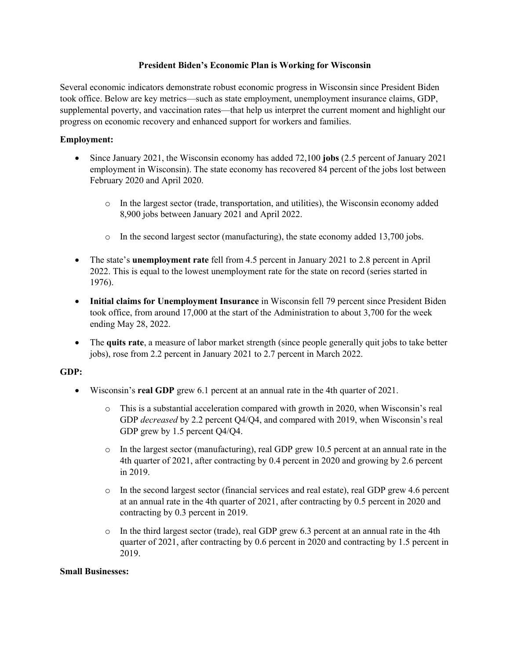### **President Biden's Economic Plan is Working for Wisconsin**

Several economic indicators demonstrate robust economic progress in Wisconsin since President Biden took office. Below are key metrics—such as state employment, unemployment insurance claims, GDP, supplemental poverty, and vaccination rates—that help us interpret the current moment and highlight our progress on economic recovery and enhanced support for workers and families.

## **Employment:**

- Since January 2021, the Wisconsin economy has added 72,100 **jobs** (2.5 percent of January 2021 employment in Wisconsin). The state economy has recovered 84 percent of the jobs lost between February 2020 and April 2020.
	- o In the largest sector (trade, transportation, and utilities), the Wisconsin economy added 8,900 jobs between January 2021 and April 2022.
	- $\circ$  In the second largest sector (manufacturing), the state economy added 13,700 jobs.
- The state's **unemployment rate** fell from 4.5 percent in January 2021 to 2.8 percent in April 2022. This is equal to the lowest unemployment rate for the state on record (series started in 1976).
- **Initial claims for Unemployment Insurance** in Wisconsin fell 79 percent since President Biden took office, from around 17,000 at the start of the Administration to about 3,700 for the week ending May 28, 2022.
- The **quits rate**, a measure of labor market strength (since people generally quit jobs to take better jobs), rose from 2.2 percent in January 2021 to 2.7 percent in March 2022.

### **GDP:**

- Wisconsin's **real GDP** grew 6.1 percent at an annual rate in the 4th quarter of 2021.
	- o This is a substantial acceleration compared with growth in 2020, when Wisconsin's real GDP *decreased* by 2.2 percent Q4/Q4, and compared with 2019, when Wisconsin's real GDP grew by 1.5 percent Q4/Q4.
	- $\circ$  In the largest sector (manufacturing), real GDP grew 10.5 percent at an annual rate in the 4th quarter of 2021, after contracting by 0.4 percent in 2020 and growing by 2.6 percent in 2019.
	- o In the second largest sector (financial services and real estate), real GDP grew 4.6 percent at an annual rate in the 4th quarter of 2021, after contracting by 0.5 percent in 2020 and contracting by 0.3 percent in 2019.
	- o In the third largest sector (trade), real GDP grew 6.3 percent at an annual rate in the 4th quarter of 2021, after contracting by 0.6 percent in 2020 and contracting by 1.5 percent in 2019.

### **Small Businesses:**